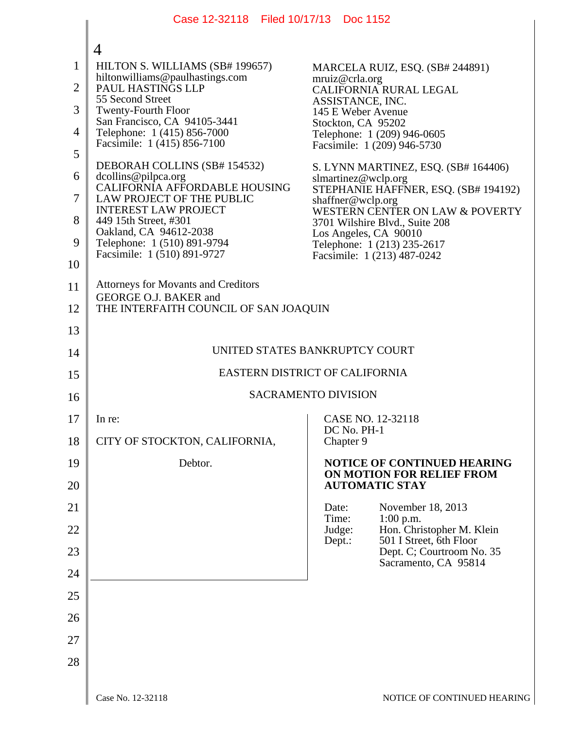|                | Case 12-32118 Filed 10/17/13 Doc 1152                               |                                                                                              |  |
|----------------|---------------------------------------------------------------------|----------------------------------------------------------------------------------------------|--|
|                | 4                                                                   |                                                                                              |  |
| $\mathbf{1}$   | HILTON S. WILLIAMS (SB# 199657)<br>hiltonwilliams@paulhastings.com  | MARCELA RUIZ, ESQ. (SB# 244891)<br>mruiz@crla.org                                            |  |
| $\overline{2}$ | PAUL HASTINGS LLP<br>55 Second Street                               | CALIFORNIA RURAL LEGAL<br>ASSISTANCE, INC.                                                   |  |
| 3              | <b>Twenty-Fourth Floor</b><br>San Francisco, CA 94105-3441          | 145 E Weber Avenue<br>Stockton, CA 95202                                                     |  |
| 4              | Telephone: 1 (415) 856-7000<br>Facsimile: 1 (415) 856-7100          | Telephone: 1 (209) 946-0605<br>Facsimile: 1 (209) 946-5730                                   |  |
| 5              | DEBORAH COLLINS (SB# 154532)                                        |                                                                                              |  |
| 6              | dcollins@pilpca.org<br>CALIFORNIA AFFORDABLE HOUSING                | S. LYNN MARTINEZ, ESQ. (SB# 164406)<br>slmartinez@wclp.org                                   |  |
| 7              | LAW PROJECT OF THE PUBLIC<br><b>INTEREST LAW PROJECT</b>            | STEPHANIE HAFFNER, ESQ. (SB# 194192)<br>shaffner@wclp.org<br>WESTERN CENTER ON LAW & POVERTY |  |
| 8              | 449 15th Street, #301<br>Oakland, CA 94612-2038                     | 3701 Wilshire Blvd., Suite 208                                                               |  |
| 9              | Telephone: 1 (510) 891-9794<br>Facsimile: 1 (510) 891-9727          | Los Angeles, CA 90010<br>Telephone: 1 (213) 235-2617                                         |  |
| 10             |                                                                     | Facsimile: 1 (213) 487-0242                                                                  |  |
| 11             | <b>Attorneys for Movants and Creditors</b><br>GEORGE O.J. BAKER and |                                                                                              |  |
| 12             | THE INTERFAITH COUNCIL OF SAN JOAQUIN                               |                                                                                              |  |
| 13             |                                                                     |                                                                                              |  |
| 14             | UNITED STATES BANKRUPTCY COURT                                      |                                                                                              |  |
| 15             | EASTERN DISTRICT OF CALIFORNIA                                      |                                                                                              |  |
| 16             | <b>SACRAMENTO DIVISION</b>                                          |                                                                                              |  |
| 17             | In re:                                                              | CASE NO. 12-32118                                                                            |  |
| 18             | CITY OF STOCKTON, CALIFORNIA,                                       | DC No. PH-1<br>Chapter 9                                                                     |  |
| 19             | Debtor.                                                             | NOTICE OF CONTINUED HEARING<br>ON MOTION FOR RELIEF FROM                                     |  |
| 20             |                                                                     | <b>AUTOMATIC STAY</b>                                                                        |  |
| 21             |                                                                     | Date:<br>November 18, 2013<br>Time:<br>$1:00$ p.m.                                           |  |
| 22             |                                                                     | Judge:<br>Hon. Christopher M. Klein<br>501 I Street, 6th Floor<br>Dept.:                     |  |
| 23<br>24       |                                                                     | Dept. C; Courtroom No. 35<br>Sacramento, CA 95814                                            |  |
| 25             |                                                                     |                                                                                              |  |
| 26             |                                                                     |                                                                                              |  |
|                |                                                                     |                                                                                              |  |
| 27             |                                                                     |                                                                                              |  |
| 28             |                                                                     |                                                                                              |  |
|                |                                                                     |                                                                                              |  |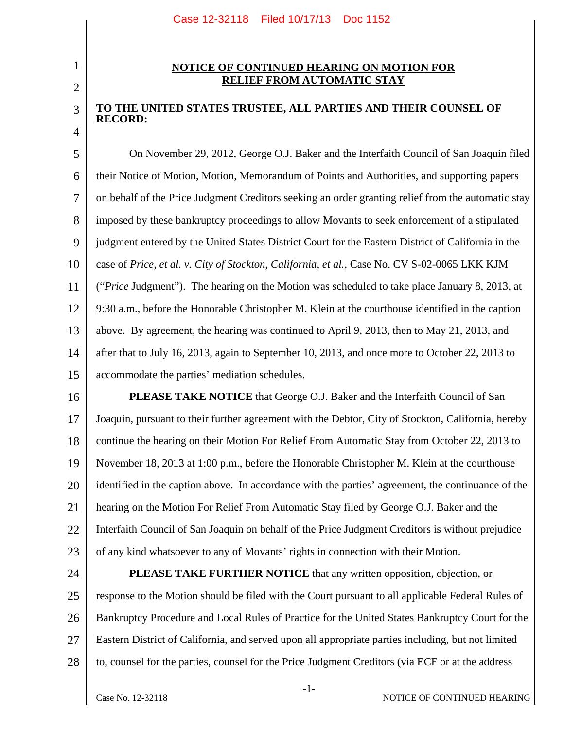## 2

3

4

1

## **NOTICE OF CONTINUED HEARING ON MOTION FOR RELIEF FROM AUTOMATIC STAY**

## **TO THE UNITED STATES TRUSTEE, ALL PARTIES AND THEIR COUNSEL OF RECORD:**

5 6 7 8 9 10 11 12 13 14 15 On November 29, 2012, George O.J. Baker and the Interfaith Council of San Joaquin filed their Notice of Motion, Motion, Memorandum of Points and Authorities, and supporting papers on behalf of the Price Judgment Creditors seeking an order granting relief from the automatic stay imposed by these bankruptcy proceedings to allow Movants to seek enforcement of a stipulated judgment entered by the United States District Court for the Eastern District of California in the case of *Price, et al. v. City of Stockton, California, et al.*, Case No. CV S-02-0065 LKK KJM ("*Price* Judgment"). The hearing on the Motion was scheduled to take place January 8, 2013, at 9:30 a.m., before the Honorable Christopher M. Klein at the courthouse identified in the caption above. By agreement, the hearing was continued to April 9, 2013, then to May 21, 2013, and after that to July 16, 2013, again to September 10, 2013, and once more to October 22, 2013 to accommodate the parties' mediation schedules.

- 16 17 18 19 20 21 22 23 **PLEASE TAKE NOTICE** that George O.J. Baker and the Interfaith Council of San Joaquin, pursuant to their further agreement with the Debtor, City of Stockton, California, hereby continue the hearing on their Motion For Relief From Automatic Stay from October 22, 2013 to November 18, 2013 at 1:00 p.m., before the Honorable Christopher M. Klein at the courthouse identified in the caption above. In accordance with the parties' agreement, the continuance of the hearing on the Motion For Relief From Automatic Stay filed by George O.J. Baker and the Interfaith Council of San Joaquin on behalf of the Price Judgment Creditors is without prejudice of any kind whatsoever to any of Movants' rights in connection with their Motion.
- 24 25 26 27 28 **PLEASE TAKE FURTHER NOTICE** that any written opposition, objection, or response to the Motion should be filed with the Court pursuant to all applicable Federal Rules of Bankruptcy Procedure and Local Rules of Practice for the United States Bankruptcy Court for the Eastern District of California, and served upon all appropriate parties including, but not limited to, counsel for the parties, counsel for the Price Judgment Creditors (via ECF or at the address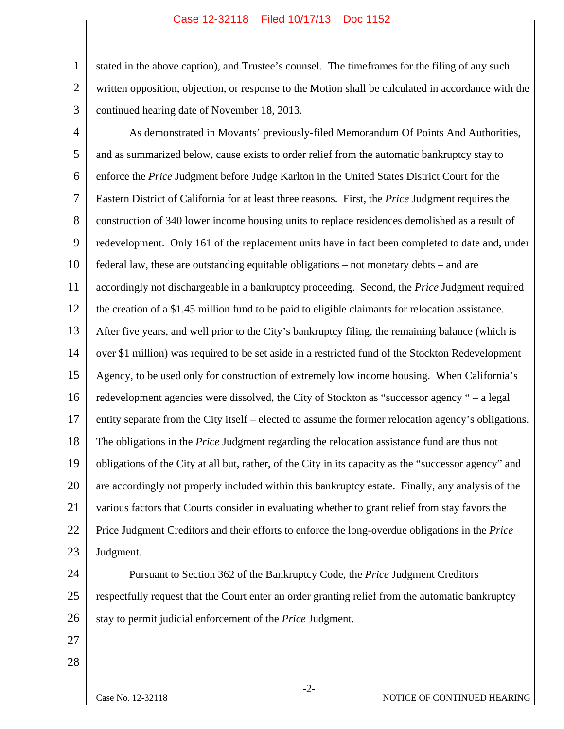## Case 12-32118 Filed 10/17/13 Doc 1152

1 2 stated in the above caption), and Trustee's counsel. The timeframes for the filing of any such written opposition, objection, or response to the Motion shall be calculated in accordance with the continued hearing date of November 18, 2013.

3 4

5 6 7 8 9 10 11 12 13 14 15 16 17 18 19 20 21 22 23 As demonstrated in Movants' previously-filed Memorandum Of Points And Authorities, and as summarized below, cause exists to order relief from the automatic bankruptcy stay to enforce the *Price* Judgment before Judge Karlton in the United States District Court for the Eastern District of California for at least three reasons. First, the *Price* Judgment requires the construction of 340 lower income housing units to replace residences demolished as a result of redevelopment. Only 161 of the replacement units have in fact been completed to date and, under federal law, these are outstanding equitable obligations – not monetary debts – and are accordingly not dischargeable in a bankruptcy proceeding. Second, the *Price* Judgment required the creation of a \$1.45 million fund to be paid to eligible claimants for relocation assistance. After five years, and well prior to the City's bankruptcy filing, the remaining balance (which is over \$1 million) was required to be set aside in a restricted fund of the Stockton Redevelopment Agency, to be used only for construction of extremely low income housing. When California's redevelopment agencies were dissolved, the City of Stockton as "successor agency " – a legal entity separate from the City itself – elected to assume the former relocation agency's obligations. The obligations in the *Price* Judgment regarding the relocation assistance fund are thus not obligations of the City at all but, rather, of the City in its capacity as the "successor agency" and are accordingly not properly included within this bankruptcy estate. Finally, any analysis of the various factors that Courts consider in evaluating whether to grant relief from stay favors the Price Judgment Creditors and their efforts to enforce the long-overdue obligations in the *Price* Judgment.

24 25 26 Pursuant to Section 362 of the Bankruptcy Code, the *Price* Judgment Creditors respectfully request that the Court enter an order granting relief from the automatic bankruptcy stay to permit judicial enforcement of the *Price* Judgment.

- 27
- 28

-2-